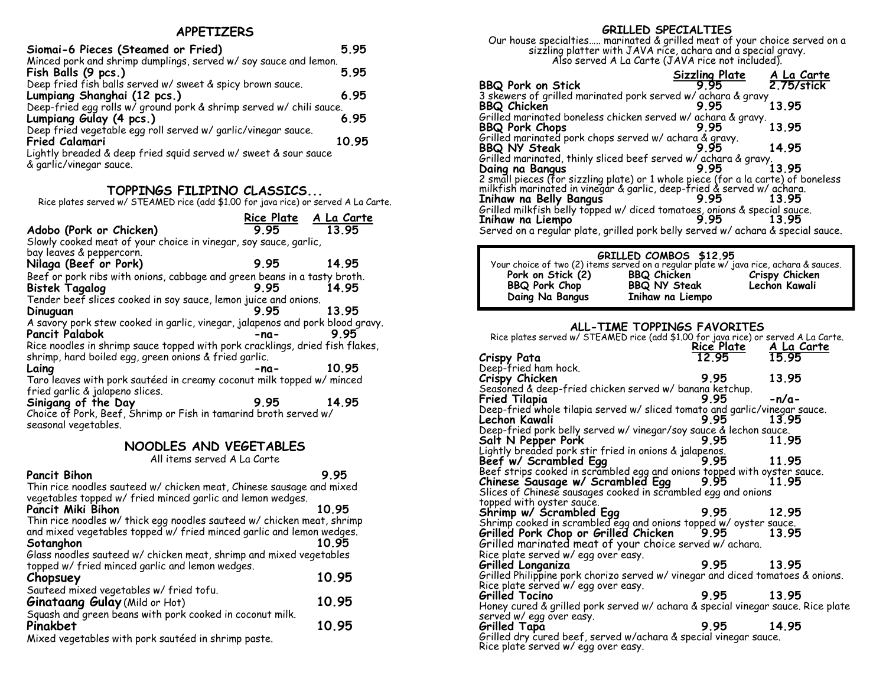### **APPETIZERS**

| Siomai-6 Pieces (Steamed or Fried)                                  | 5.95  |
|---------------------------------------------------------------------|-------|
| Minced pork and shrimp dumplings, served w/ soy sauce and lemon.    |       |
| Fish Balls (9 pcs.)                                                 | 5.95  |
| Deep fried fish balls served w/ sweet & spicy brown sauce.          |       |
| Lumpiang Shanghai (12 pcs.)                                         | 6.95  |
| Deep-fried egg rolls w/ ground pork & shrimp served w/ chili sauce. |       |
| Lumpiang Gulay (4 pcs.)                                             | 6.95  |
| Deep fried vegetable egg roll served w/ garlic/vinegar sauce.       |       |
| <b>Fried Calamari</b>                                               | 10.95 |
| Lightly breaded & deep fried squid served w/ sweet & sour sauce     |       |
| & garlic/vinegar sauce.                                             |       |

## **TOPPINGS FILIPINO CLASSICS...**

Rice plates served w/ STEAMED rice (add \$1.00 for java rice) or served A La Carte.

|                                                                                          | Rice Plate A La Carte |       |
|------------------------------------------------------------------------------------------|-----------------------|-------|
| Adobo (Pork or Chicken)                                                                  | 995                   | 13.95 |
| Slowly cooked meat of your choice in vinegar, soy sauce, garlic,                         |                       |       |
| bay leaves & peppercorn.                                                                 |                       |       |
| Nilaga (Beef or Pork)                                                                    | 9.95                  | 14.95 |
| Beef or pork ribs with onions, cabbage and green beans in a tasty broth.                 |                       |       |
| <b>Bistek Tagalog</b>                                                                    | 995 —                 | 14.95 |
| Tender beef slices cooked in soy sauce, lemon juice and onions.                          |                       |       |
| Dinuguan                                                                                 | 995                   | 13.95 |
| A savory pork stew cooked in garlic, vinegar, jalapenos and pork blood gravy.            |                       |       |
| <b>Pancit Palabok</b>                                                                    | $-na-$                | 995   |
| Rice noodles in shrimp sauce topped with pork cracklings, dried fish flakes,             |                       |       |
| shrimp, hard boiled egg, green onions & fried garlic.                                    |                       |       |
| Laing                                                                                    | -na-                  | 10.95 |
| Taro leaves with pork sautéed in creamy coconut milk topped w/ minced                    |                       |       |
| fried garlic & jalapeno slices.                                                          |                       |       |
| Sinigang of the Day                                                                      | 995                   | 14.95 |
| Choice of Pork, Beef, Shrimp or Fish in tamarind broth served w/<br>seasonal vegetables. |                       |       |

### **NOODLES AND VEGETABLES**

All items served A La Carte

| All items served A La Carte                                                                                                                    |       |
|------------------------------------------------------------------------------------------------------------------------------------------------|-------|
| <b>Pancit Bihon</b>                                                                                                                            | 995   |
| Thin rice noodles sauteed w/ chicken meat, Chinese sausage and mixed<br>vegetables topped w/ fried minced garlic and lemon wedges.             |       |
| Pancit Miki Bihon                                                                                                                              | 10.95 |
| Thin rice noodles w/ thick egg noodles sauteed w/ chicken meat, shrimp<br>and mixed vegetables topped w/ fried minced garlic and lemon wedges. |       |
| Sotanghon                                                                                                                                      | 10.95 |
| Glass noodles sauteed w/ chicken meat, shrimp and mixed vegetables<br>topped w/ fried minced garlic and lemon wedges.                          |       |
| Chopsuey                                                                                                                                       | 10.95 |
| Sauteed mixed vegetables w/ fried tofu.                                                                                                        |       |
| Ginataang Gulay (Mild or Hot)                                                                                                                  | 10.95 |
| Squash and green beans with pork cooked in coconut milk.                                                                                       |       |
| Pinakbet                                                                                                                                       | 10.95 |
| Mixed vegetables with pork sautéed in shrimp paste.                                                                                            |       |

### **GRILLED SPECIALTIES**

Our house specialties….. marinated & grilled meat of your choice served on a sizzling platter with JAVA rice, achara and a special gravy. Also served A La Carte (JAVA rice not included).

|                                                                                                                                                             | <b>Sizzling Plate</b> | A La Carte |
|-------------------------------------------------------------------------------------------------------------------------------------------------------------|-----------------------|------------|
| <b>BBQ Pork on Stick</b>                                                                                                                                    | 9 95                  | 2.75/stick |
| 3 skewers of grilled marinated pork served w/ achara & gravy                                                                                                |                       |            |
| <b>BBQ Chicken</b>                                                                                                                                          | 995                   | 13.95      |
| Grilled marinated boneless chicken served w/ achara & gravy.                                                                                                |                       |            |
| <b>BBQ Pork Chops</b>                                                                                                                                       | 995                   | 13.95      |
| Grilled marinated pork chops served w/ achara & gravy.                                                                                                      |                       |            |
| <b>BBQ NY Steak</b>                                                                                                                                         | 995                   | 14.95      |
|                                                                                                                                                             |                       |            |
| BBQ NY Steak<br>Grilled marinated, thinly sliced beef served w/achara & gravy.<br>9.95 13.95<br>Daing na Bangus                                             |                       |            |
| 2 small pieces (for sizzling plate) or 1 whole piece (for a la carte) of boneless<br>milkfish marinated in vinegar & garlic, deep-fried & served w/ achara. |                       |            |
|                                                                                                                                                             |                       |            |
| Inihaw na Belly Bangus                                                                                                                                      | 9.95                  | 1395       |
| Grilled milkfish belly topped w/ diced tomatoes, onions & special sauce.                                                                                    |                       |            |
| Inihaw na Liempo                                                                                                                                            | 995                   | 13 95      |
| Served on a regular plate, grilled pork belly served w/ achara & special sauce.                                                                             |                       |            |

# **GRILLED COMBOS \$12.95** Your choice of two (2) items served on a regular plate w/ java rice, achara & sauces. **Pork on Stick (2) BBQ Chicken Crispy Chicken BBQ Pork Chop BBQ NY Steak Lechon Kawali Daing Na Bangus Inihaw na Liempo**

### **ALL-TIME TOPPINGS FAVORITES**

| Rice plates served w/ STEAMED rice (add \$1.00 for java rice) or served A La Carte.                                     |                                      |         |
|-------------------------------------------------------------------------------------------------------------------------|--------------------------------------|---------|
|                                                                                                                         | Rice Plate A La Carte<br>12.95 15.95 |         |
| Crispy Pata                                                                                                             |                                      | 15.95   |
| Deep-fried ham hock.                                                                                                    |                                      |         |
| Crispy Chicken                                                                                                          | 9.95                                 | 13.95   |
| Seasoned & deep-fried chicken served w/ banana ketchup.                                                                 |                                      |         |
| <b>Fried Tilapia</b>                                                                                                    | 9.95                                 | $-n/a-$ |
| Deep-fried whole tilapia served w/ sliced tomato and garlic/vinegar sauce.                                              |                                      |         |
| Lechon Kawali                                                                                                           | 9.95                                 | 13.95   |
| Deep-fried pork belly served w/ vinegar/soy sauce & lechon sauce.                                                       |                                      |         |
| Salt N Pepper Pork                                                                                                      | 9.95                                 | 11.95   |
| Lightly breaded pork stir fried in onions & jalapenos.                                                                  |                                      |         |
| Beef w/ Scrambled Egg                                                                                                   | 9.95                                 | 11.95   |
| Beef strips cooked in scrambled egg and onions topped with oyster sauce.<br>Chinese Sausage w/ Scrambled Egg 9.95 11.95 |                                      |         |
| Chinese Sausage w/ Scrambled Egg                                                                                        |                                      |         |
| Slices of Chinese sausages cooked in scrambled egg and onions                                                           |                                      |         |
| topped with oyster sauce.                                                                                               |                                      |         |
| Shrimp w/ Scrambled Egg                                                                                                 | 9.95 12.95                           |         |
| Shrimp cooked in scrambled egg and onions topped w/ oyster sauce.<br>Grilled Pork Chop or Grilled Chicken 9.95 13.95    |                                      |         |
|                                                                                                                         |                                      | 13.95   |
| Grilled marinated meat of your choice served w/achara.                                                                  |                                      |         |
| Rice plate served w/egg over easy.                                                                                      |                                      |         |
| Grilled Longaniza                                                                                                       | 9.95                                 | 13.95   |
| Grilled Philippine pork chorizo served w/ vinegar and diced tomatoes & onions.                                          |                                      |         |
| Rice plate served w/egg over easy.                                                                                      |                                      |         |
| Grilled Tocino                                                                                                          | 9.95                                 | 13.95   |
| Honey cured & grilled pork served w/ achara & special vinegar sauce. Rice plate                                         |                                      |         |
| served w/egg over easy.                                                                                                 |                                      |         |
| <b>Grilled Tapa</b>                                                                                                     | 9.95                                 | 14.95   |
| Grilled dry cured beef, served w/achara & special vinegar sauce.                                                        |                                      |         |
| Rice plate served w/egg over easy.                                                                                      |                                      |         |